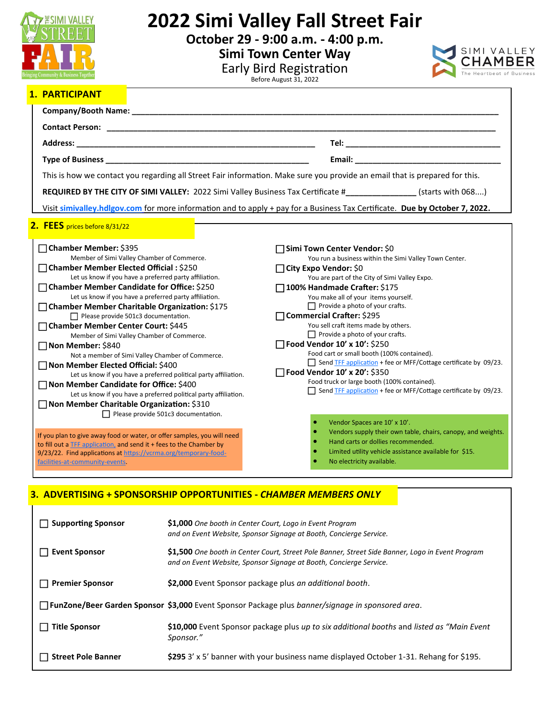

# **2022 Simi Valley Fall Street Fair**

**October 29 - 9:00 a.m. - 4:00 p.m.**

**Simi Town Center Way**



Early Bird Registration<br>Before August 31, 2022

## **1. PARTICIPANT**

| This is how we contact you regarding all Street Fair information. Make sure you provide an email that is prepared for this.                                                                                                                                                                                                                                                                                                                                                                                                                                                                                                                                                                                                                                                                                                                                                            |                                                                                                                                                                                                                                                                                                                                                                                                                                                                                                                                                                                                                                                                                                            |
|----------------------------------------------------------------------------------------------------------------------------------------------------------------------------------------------------------------------------------------------------------------------------------------------------------------------------------------------------------------------------------------------------------------------------------------------------------------------------------------------------------------------------------------------------------------------------------------------------------------------------------------------------------------------------------------------------------------------------------------------------------------------------------------------------------------------------------------------------------------------------------------|------------------------------------------------------------------------------------------------------------------------------------------------------------------------------------------------------------------------------------------------------------------------------------------------------------------------------------------------------------------------------------------------------------------------------------------------------------------------------------------------------------------------------------------------------------------------------------------------------------------------------------------------------------------------------------------------------------|
|                                                                                                                                                                                                                                                                                                                                                                                                                                                                                                                                                                                                                                                                                                                                                                                                                                                                                        | REQUIRED BY THE CITY OF SIMI VALLEY: 2022 Simi Valley Business Tax Certificate #____________(starts with 068)                                                                                                                                                                                                                                                                                                                                                                                                                                                                                                                                                                                              |
| Visit simivalley.hdlgov.com for more information and to apply + pay for a Business Tax Certificate. Due by October 7, 2022.                                                                                                                                                                                                                                                                                                                                                                                                                                                                                                                                                                                                                                                                                                                                                            |                                                                                                                                                                                                                                                                                                                                                                                                                                                                                                                                                                                                                                                                                                            |
| 2. FEES prices before 8/31/22                                                                                                                                                                                                                                                                                                                                                                                                                                                                                                                                                                                                                                                                                                                                                                                                                                                          |                                                                                                                                                                                                                                                                                                                                                                                                                                                                                                                                                                                                                                                                                                            |
| □ Chamber Member: \$395<br>Member of Simi Valley Chamber of Commerce.<br>□ Chamber Member Elected Official : \$250<br>Let us know if you have a preferred party affiliation.<br>$\Box$ Chamber Member Candidate for Office: \$250<br>Let us know if you have a preferred party affiliation.<br>□ Chamber Member Charitable Organization: \$175<br>$\Box$ Please provide 501c3 documentation.<br>□ Chamber Member Center Court: \$445<br>Member of Simi Valley Chamber of Commerce.<br>□ Non Member: \$840<br>Not a member of Simi Valley Chamber of Commerce.<br>□ Non Member Elected Official: \$400<br>Let us know if you have a preferred political party affiliation.<br>□ Non Member Candidate for Office: \$400<br>Let us know if you have a preferred political party affiliation.<br>□ Non Member Charitable Organization: \$310<br>$\Box$ Please provide 501c3 documentation. | Simi Town Center Vendor: \$0<br>You run a business within the Simi Valley Town Center.<br>□ City Expo Vendor: \$0<br>You are part of the City of Simi Valley Expo.<br>□ 100% Handmade Crafter: \$175<br>You make all of your items yourself.<br>$\Box$ Provide a photo of your crafts.<br>□ Commercial Crafter: \$295<br>You sell craft items made by others.<br>$\Box$ Provide a photo of your crafts.<br>Food Vendor 10' x 10': \$250<br>Food cart or small booth (100% contained).<br>Send TFF application + fee or MFF/Cottage certificate by 09/23.<br>Food Vendor 10' x 20': \$350<br>Food truck or large booth (100% contained).<br>Send TFF application + fee or MFF/Cottage certificate by 09/23. |
| If you plan to give away food or water, or offer samples, you will need<br>to fill out a <b>TFF</b> application, and send it + fees to the Chamber by<br>9/23/22. Find applications at https://vcrma.org/temporary-food-<br>facilities-at-community-events.                                                                                                                                                                                                                                                                                                                                                                                                                                                                                                                                                                                                                            | Vendor Spaces are 10' x 10'.<br>Vendors supply their own table, chairs, canopy, and weights.<br>Hand carts or dollies recommended.<br>Limited utility vehicle assistance available for \$15.<br>No electricity available.                                                                                                                                                                                                                                                                                                                                                                                                                                                                                  |

## **3. ADVERTISING + SPONSORSHIP OPPORTUNITIES -** *CHAMBER MEMBERS ONLY*

| Supporting Sponsor     | \$1,000 One booth in Center Court, Logo in Event Program<br>and on Event Website, Sponsor Signage at Booth, Concierge Service.                                         |
|------------------------|------------------------------------------------------------------------------------------------------------------------------------------------------------------------|
| <b>Event Sponsor</b>   | \$1,500 One booth in Center Court, Street Pole Banner, Street Side Banner, Logo in Event Program<br>and on Event Website, Sponsor Signage at Booth, Concierge Service. |
| <b>Premier Sponsor</b> | \$2,000 Event Sponsor package plus an additional booth.                                                                                                                |
|                        | <b>FunZone/Beer Garden Sponsor \$3,000</b> Event Sponsor Package plus banner/signage in sponsored area.                                                                |
| <b>Title Sponsor</b>   | \$10,000 Event Sponsor package plus up to six additional booths and listed as "Main Event"<br>Sponsor."                                                                |
| Street Pole Banner     | \$295 3' x 5' banner with your business name displayed October 1-31. Rehang for \$195.                                                                                 |